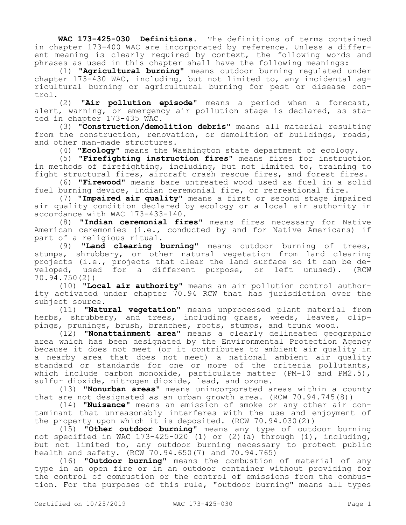**WAC 173-425-030 Definitions.** The definitions of terms contained in chapter 173-400 WAC are incorporated by reference. Unless a different meaning is clearly required by context, the following words and phrases as used in this chapter shall have the following meanings:

(1) **"Agricultural burning"** means outdoor burning regulated under chapter 173-430 WAC, including, but not limited to, any incidental agricultural burning or agricultural burning for pest or disease control.

(2) **"Air pollution episode"** means a period when a forecast, alert, warning, or emergency air pollution stage is declared, as stated in chapter 173-435 WAC.

(3) **"Construction/demolition debris"** means all material resulting from the construction, renovation, or demolition of buildings, roads, and other man-made structures.

(4) **"Ecology"** means the Washington state department of ecology.

(5) **"Firefighting instruction fires"** means fires for instruction in methods of firefighting, including, but not limited to, training to fight structural fires, aircraft crash rescue fires, and forest fires.

(6) **"Firewood"** means bare untreated wood used as fuel in a solid fuel burning device, Indian ceremonial fire, or recreational fire.

(7) **"Impaired air quality"** means a first or second stage impaired air quality condition declared by ecology or a local air authority in accordance with WAC 173-433-140.

(8) **"Indian ceremonial fires"** means fires necessary for Native American ceremonies (i.e., conducted by and for Native Americans) if part of a religious ritual.

(9) **"Land clearing burning"** means outdoor burning of trees, stumps, shrubbery, or other natural vegetation from land clearing projects (i.e., projects that clear the land surface so it can be developed, used for a different purpose, or left unused). (RCW 70.94.750(2))

(10) **"Local air authority"** means an air pollution control authority activated under chapter 70.94 RCW that has jurisdiction over the subject source.

(11) **"Natural vegetation"** means unprocessed plant material from herbs, shrubbery, and trees, including grass, weeds, leaves, clippings, prunings, brush, branches, roots, stumps, and trunk wood.

(12) **"Nonattainment area"** means a clearly delineated geographic area which has been designated by the Environmental Protection Agency because it does not meet (or it contributes to ambient air quality in a nearby area that does not meet) a national ambient air quality standard or standards for one or more of the criteria pollutants, which include carbon monoxide, particulate matter (PM-10 and PM2.5), sulfur dioxide, nitrogen dioxide, lead, and ozone.

(13) **"Nonurban areas"** means unincorporated areas within a county that are not designated as an urban growth area. (RCW 70.94.745(8))

(14) **"Nuisance"** means an emission of smoke or any other air contaminant that unreasonably interferes with the use and enjoyment of the property upon which it is deposited. (RCW 70.94.030(2))

(15) **"Other outdoor burning"** means any type of outdoor burning not specified in WAC 173-425-020 (1) or (2)(a) through (i), including, but not limited to, any outdoor burning necessary to protect public health and safety. (RCW 70.94.650(7) and 70.94.765)

(16) **"Outdoor burning"** means the combustion of material of any type in an open fire or in an outdoor container without providing for the control of combustion or the control of emissions from the combustion. For the purposes of this rule, "outdoor burning" means all types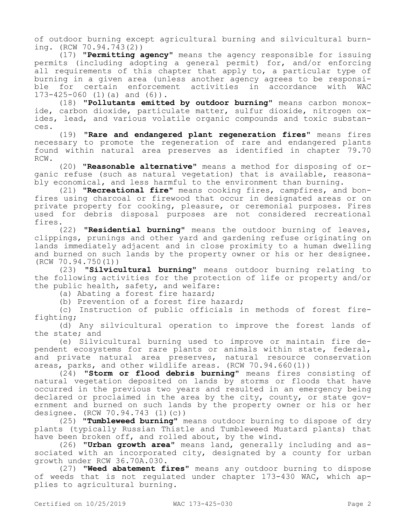of outdoor burning except agricultural burning and silvicultural burning. (RCW 70.94.743(2))

(17) **"Permitting agency"** means the agency responsible for issuing permits (including adopting a general permit) for, and/or enforcing all requirements of this chapter that apply to, a particular type of burning in a given area (unless another agency agrees to be responsifor certain enforcement activities in accordance with 173-425-060 (1)(a) and (6)).

(18) **"Pollutants emitted by outdoor burning"** means carbon monoxide, carbon dioxide, particulate matter, sulfur dioxide, nitrogen oxides, lead, and various volatile organic compounds and toxic substances.

(19) **"Rare and endangered plant regeneration fires"** means fires necessary to promote the regeneration of rare and endangered plants found within natural area preserves as identified in chapter 79.70 RCW.

(20) **"Reasonable alternative"** means a method for disposing of organic refuse (such as natural vegetation) that is available, reasonably economical, and less harmful to the environment than burning.

(21) **"Recreational fire"** means cooking fires, campfires, and bonfires using charcoal or firewood that occur in designated areas or on private property for cooking, pleasure, or ceremonial purposes. Fires used for debris disposal purposes are not considered recreational fires.

(22) **"Residential burning"** means the outdoor burning of leaves, clippings, prunings and other yard and gardening refuse originating on lands immediately adjacent and in close proximity to a human dwelling and burned on such lands by the property owner or his or her designee. (RCW 70.94.750(1))

(23) **"Silvicultural burning"** means outdoor burning relating to the following activities for the protection of life or property and/or the public health, safety, and welfare:

(a) Abating a forest fire hazard;

(b) Prevention of a forest fire hazard;

(c) Instruction of public officials in methods of forest firefighting;

(d) Any silvicultural operation to improve the forest lands of the state; and

(e) Silvicultural burning used to improve or maintain fire dependent ecosystems for rare plants or animals within state, federal, and private natural area preserves, natural resource conservation areas, parks, and other wildlife areas. (RCW 70.94.660(1))

(24) **"Storm or flood debris burning"** means fires consisting of natural vegetation deposited on lands by storms or floods that have occurred in the previous two years and resulted in an emergency being declared or proclaimed in the area by the city, county, or state government and burned on such lands by the property owner or his or her designee. (RCW 70.94.743 (1)(c))

(25) **"Tumbleweed burning"** means outdoor burning to dispose of dry plants (typically Russian Thistle and Tumbleweed Mustard plants) that have been broken off, and rolled about, by the wind.

(26) **"Urban growth area"** means land, generally including and associated with an incorporated city, designated by a county for urban growth under RCW 36.70A.030.

(27) **"Weed abatement fires"** means any outdoor burning to dispose of weeds that is not regulated under chapter 173-430 WAC, which applies to agricultural burning.